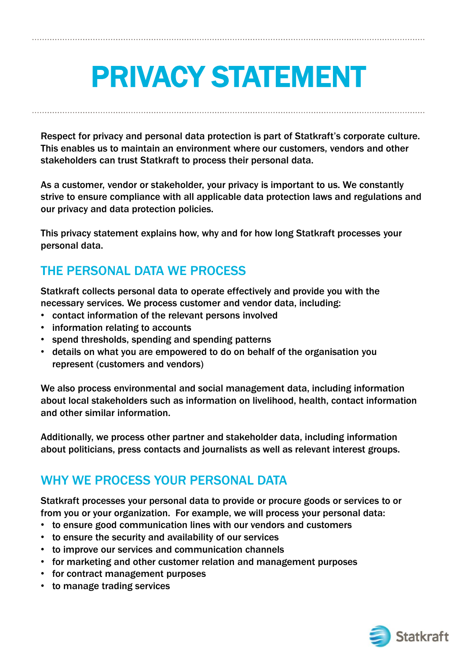# PRIVACY STATEMENT

Respect for privacy and personal data protection is part of Statkraft's corporate culture. This enables us to maintain an environment where our customers, vendors and other stakeholders can trust Statkraft to process their personal data.

As a customer, vendor or stakeholder, your privacy is important to us. We constantly strive to ensure compliance with all applicable data protection laws and regulations and our privacy and data protection policies.

This privacy statement explains how, why and for how long Statkraft processes your personal data.

# THE PERSONAL DATA WE PROCESS

Statkraft collects personal data to operate effectively and provide you with the necessary services. We process customer and vendor data, including:

- contact information of the relevant persons involved
- information relating to accounts
- spend thresholds, spending and spending patterns
- details on what you are empowered to do on behalf of the organisation you represent (customers and vendors)

We also process environmental and social management data, including information about local stakeholders such as information on livelihood, health, contact information and other similar information.

Additionally, we process other partner and stakeholder data, including information about politicians, press contacts and journalists as well as relevant interest groups.

# WHY WE PROCESS YOUR PERSONAL DATA

Statkraft processes your personal data to provide or procure goods or services to or from you or your organization. For example, we will process your personal data:

- to ensure good communication lines with our vendors and customers
- to ensure the security and availability of our services
- to improve our services and communication channels
- for marketing and other customer relation and management purposes
- for contract management purposes
- to manage trading services

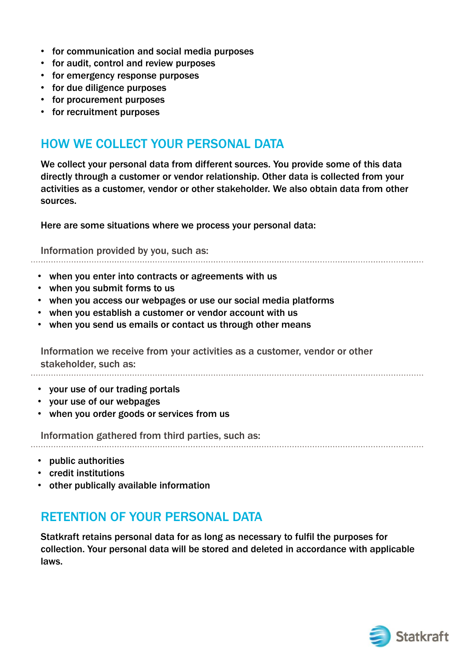- for communication and social media purposes
- for audit, control and review purposes
- for emergency response purposes
- for due diligence purposes
- for procurement purposes
- for recruitment purposes

## HOW WE COLLECT YOUR PERSONAL DATA

We collect your personal data from different sources. You provide some of this data directly through a customer or vendor relationship. Other data is collected from your activities as a customer, vendor or other stakeholder. We also obtain data from other sources.

Here are some situations where we process your personal data:

Information provided by you, such as:

- when you enter into contracts or agreements with us
- when you submit forms to us
- when you access our webpages or use our social media platforms
- when you establish a customer or vendor account with us
- when you send us emails or contact us through other means

Information we receive from your activities as a customer, vendor or other stakeholder, such as:

- your use of our trading portals
- your use of our webpages
- when you order goods or services from us

Information gathered from third parties, such as:

- public authorities
- credit institutions
- other publically available information

### RETENTION OF YOUR PERSONAL DATA

Statkraft retains personal data for as long as necessary to fulfil the purposes for collection. Your personal data will be stored and deleted in accordance with applicable laws.

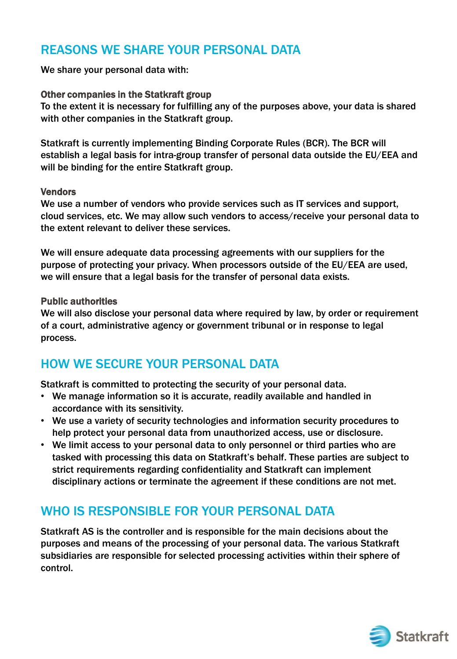## REASONS WE SHARE YOUR PERSONAL DATA

We share your personal data with:

#### Other companies in the Statkraft group

To the extent it is necessary for fulfilling any of the purposes above, your data is shared with other companies in the Statkraft group.

Statkraft is currently implementing Binding Corporate Rules (BCR). The BCR will establish a legal basis for intra-group transfer of personal data outside the EU/EEA and will be binding for the entire Statkraft group.

#### Vendors

We use a number of vendors who provide services such as IT services and support, cloud services, etc. We may allow such vendors to access/receive your personal data to the extent relevant to deliver these services.

We will ensure adequate data processing agreements with our suppliers for the purpose of protecting your privacy. When processors outside of the EU/EEA are used, we will ensure that a legal basis for the transfer of personal data exists.

#### Public authorities

We will also disclose your personal data where required by law, by order or requirement of a court, administrative agency or government tribunal or in response to legal process.

## HOW WE SECURE YOUR PERSONAL DATA

Statkraft is committed to protecting the security of your personal data.

- We manage information so it is accurate, readily available and handled in accordance with its sensitivity.
- We use a variety of security technologies and information security procedures to help protect your personal data from unauthorized access, use or disclosure.
- We limit access to your personal data to only personnel or third parties who are tasked with processing this data on Statkraft's behalf. These parties are subject to strict requirements regarding confidentiality and Statkraft can implement disciplinary actions or terminate the agreement if these conditions are not met.

## WHO IS RESPONSIBLE FOR YOUR PERSONAL DATA

Statkraft AS is the controller and is responsible for the main decisions about the purposes and means of the processing of your personal data. The various Statkraft subsidiaries are responsible for selected processing activities within their sphere of control.